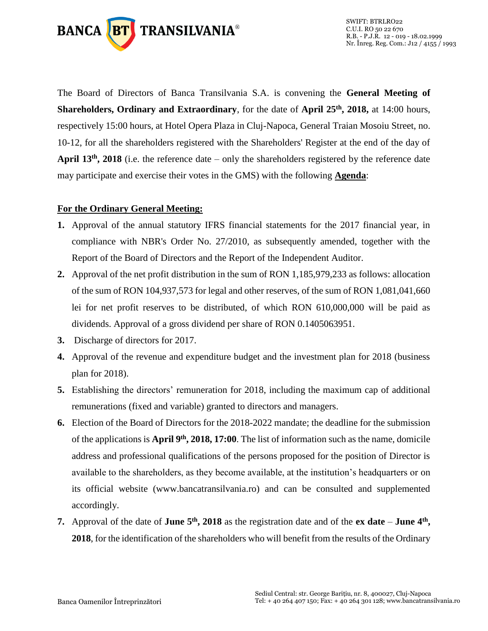

The Board of Directors of Banca Transilvania S.A. is convening the **General Meeting of Shareholders, Ordinary and Extraordinary**, for the date of **April 25th, 2018,** at 14:00 hours, respectively 15:00 hours, at Hotel Opera Plaza in Cluj-Napoca, General Traian Mosoiu Street, no. 10-12, for all the shareholders registered with the Shareholders' Register at the end of the day of **April 13th, 2018** (i.e. the reference date – only the shareholders registered by the reference date may participate and exercise their votes in the GMS) with the following **Agenda**:

#### **For the Ordinary General Meeting:**

- **1.** Approval of the annual statutory IFRS financial statements for the 2017 financial year, in compliance with NBR's Order No. 27/2010, as subsequently amended, together with the Report of the Board of Directors and the Report of the Independent Auditor.
- **2.** Approval of the net profit distribution in the sum of RON 1,185,979,233 as follows: allocation of the sum of RON 104,937,573 for legal and other reserves, of the sum of RON 1,081,041,660 lei for net profit reserves to be distributed, of which RON 610,000,000 will be paid as dividends. Approval of a gross dividend per share of RON 0.1405063951.
- **3.** Discharge of directors for 2017.
- **4.** Approval of the revenue and expenditure budget and the investment plan for 2018 (business plan for 2018).
- **5.** Establishing the directors' remuneration for 2018, including the maximum cap of additional remunerations (fixed and variable) granted to directors and managers.
- **6.** Election of the Board of Directors for the 2018-2022 mandate; the deadline for the submission of the applications is **April 9th , 2018, 17:00**. The list of information such as the name, domicile address and professional qualifications of the persons proposed for the position of Director is available to the shareholders, as they become available, at the institution's headquarters or on its official website (www.bancatransilvania.ro) and can be consulted and supplemented accordingly.
- **7.** Approval of the date of **June 5th, 2018** as the registration date and of the **ex date June 4th , 2018**, for the identification of the shareholders who will benefit from the results of the Ordinary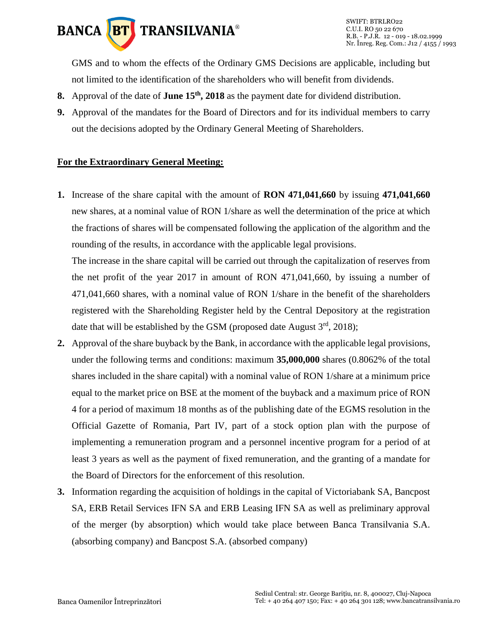

SWIFT: BTRLRO22 C.U.I. RO 50 22 670 R.B. - P.J.R. 12 - 019 - 18.02.1999 Nr. Înreg. Reg. Com.: J12 / 4155 / 1993

GMS and to whom the effects of the Ordinary GMS Decisions are applicable, including but not limited to the identification of the shareholders who will benefit from dividends.

- **8.** Approval of the date of **June 15th, 2018** as the payment date for dividend distribution.
- **9.** Approval of the mandates for the Board of Directors and for its individual members to carry out the decisions adopted by the Ordinary General Meeting of Shareholders.

#### **For the Extraordinary General Meeting:**

**1.** Increase of the share capital with the amount of **RON 471,041,660** by issuing **471,041,660**  new shares, at a nominal value of RON 1/share as well the determination of the price at which the fractions of shares will be compensated following the application of the algorithm and the rounding of the results, in accordance with the applicable legal provisions.

The increase in the share capital will be carried out through the capitalization of reserves from the net profit of the year 2017 in amount of RON 471,041,660, by issuing a number of 471,041,660 shares, with a nominal value of RON 1/share in the benefit of the shareholders registered with the Shareholding Register held by the Central Depository at the registration date that will be established by the GSM (proposed date August  $3<sup>rd</sup>$ , 2018);

- **2.** Approval of the share buyback by the Bank, in accordance with the applicable legal provisions, under the following terms and conditions: maximum **35,000,000** shares (0.8062% of the total shares included in the share capital) with a nominal value of RON 1/share at a minimum price equal to the market price on BSE at the moment of the buyback and a maximum price of RON 4 for a period of maximum 18 months as of the publishing date of the EGMS resolution in the Official Gazette of Romania, Part IV, part of a stock option plan with the purpose of implementing a remuneration program and a personnel incentive program for a period of at least 3 years as well as the payment of fixed remuneration, and the granting of a mandate for the Board of Directors for the enforcement of this resolution.
- **3.** Information regarding the acquisition of holdings in the capital of Victoriabank SA, Bancpost SA, ERB Retail Services IFN SA and ERB Leasing IFN SA as well as preliminary approval of the merger (by absorption) which would take place between Banca Transilvania S.A. (absorbing company) and Bancpost S.A. (absorbed company)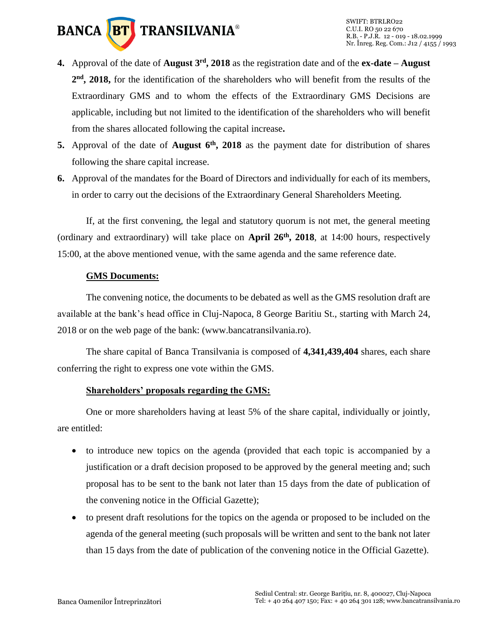

- **4.** Approval of the date of **August 3rd, 2018** as the registration date and of the **ex-date – August 2 nd, 2018,** for the identification of the shareholders who will benefit from the results of the Extraordinary GMS and to whom the effects of the Extraordinary GMS Decisions are applicable, including but not limited to the identification of the shareholders who will benefit from the shares allocated following the capital increase**.**
- **5.** Approval of the date of **August 6th, 2018** as the payment date for distribution of shares following the share capital increase.
- **6.** Approval of the mandates for the Board of Directors and individually for each of its members, in order to carry out the decisions of the Extraordinary General Shareholders Meeting.

If, at the first convening, the legal and statutory quorum is not met, the general meeting (ordinary and extraordinary) will take place on **April 26 th, 2018**, at 14:00 hours, respectively 15:00, at the above mentioned venue, with the same agenda and the same reference date.

#### **GMS Documents:**

The convening notice, the documents to be debated as well as the GMS resolution draft are available at the bank's head office in Cluj-Napoca, 8 George Baritiu St., starting with March 24, 2018 or on the web page of the bank: (www.bancatransilvania.ro).

The share capital of Banca Transilvania is composed of **4,341,439,404** shares, each share conferring the right to express one vote within the GMS.

## **Shareholders' proposals regarding the GMS:**

One or more shareholders having at least 5% of the share capital, individually or jointly, are entitled:

- to introduce new topics on the agenda (provided that each topic is accompanied by a justification or a draft decision proposed to be approved by the general meeting and; such proposal has to be sent to the bank not later than 15 days from the date of publication of the convening notice in the Official Gazette);
- to present draft resolutions for the topics on the agenda or proposed to be included on the agenda of the general meeting (such proposals will be written and sent to the bank not later than 15 days from the date of publication of the convening notice in the Official Gazette).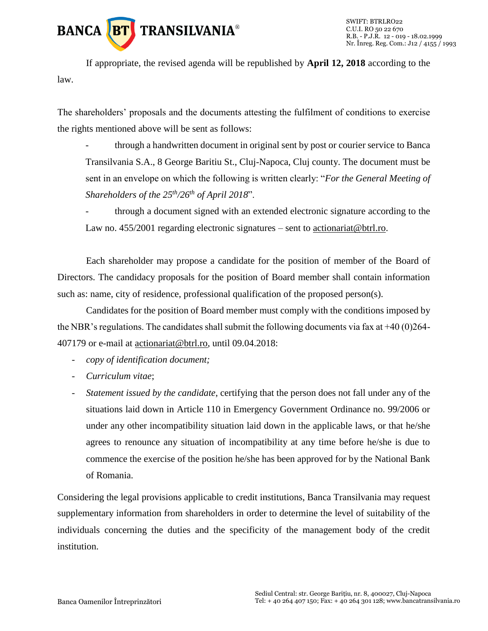

If appropriate, the revised agenda will be republished by **April 12, 2018** according to the law.

The shareholders' proposals and the documents attesting the fulfilment of conditions to exercise the rights mentioned above will be sent as follows:

through a handwritten document in original sent by post or courier service to Banca Transilvania S.A., 8 George Baritiu St., Cluj-Napoca, Cluj county. The document must be sent in an envelope on which the following is written clearly: "*For the General Meeting of Shareholders of the 25 th/26th of April 2018*".

through a document signed with an extended electronic signature according to the Law no. 455/2001 regarding electronic signatures – sent to [actionariat@btrl.ro.](mailto:actionariat@btrl.ro)

Each shareholder may propose a candidate for the position of member of the Board of Directors. The candidacy proposals for the position of Board member shall contain information such as: name, city of residence, professional qualification of the proposed person(s).

Candidates for the position of Board member must comply with the conditions imposed by the NBR's regulations. The candidates shall submit the following documents via fax at  $+40(0)264$ -407179 or e-mail at [actionariat@btrl.ro,](mailto:actionariat@btrl.ro) until 09.04.2018:

- *copy of identification document;*
- *Curriculum vitae*;
- *Statement issued by the candidate*, certifying that the person does not fall under any of the situations laid down in Article 110 in Emergency Government Ordinance no. 99/2006 or under any other incompatibility situation laid down in the applicable laws, or that he/she agrees to renounce any situation of incompatibility at any time before he/she is due to commence the exercise of the position he/she has been approved for by the National Bank of Romania.

Considering the legal provisions applicable to credit institutions, Banca Transilvania may request supplementary information from shareholders in order to determine the level of suitability of the individuals concerning the duties and the specificity of the management body of the credit institution.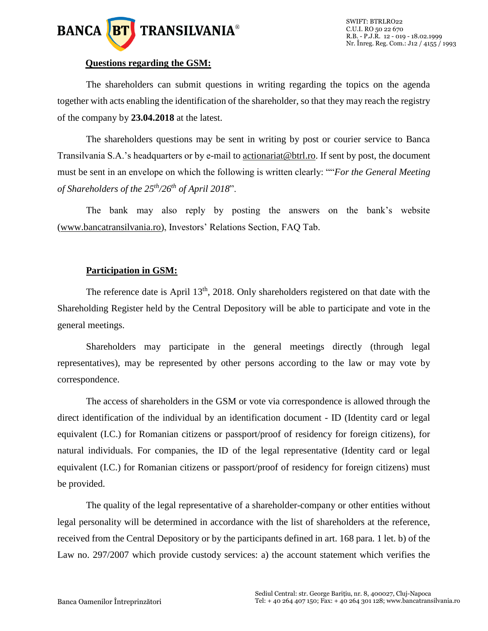

#### **Questions regarding the GSM:**

The shareholders can submit questions in writing regarding the topics on the agenda together with acts enabling the identification of the shareholder, so that they may reach the registry of the company by **23.04.2018** at the latest.

The shareholders questions may be sent in writing by post or courier service to Banca Transilvania S.A.'s headquarters or by e-mail to [actionariat@btrl.ro.](mailto:actionariat@btrl.ro) If sent by post, the document must be sent in an envelope on which the following is written clearly: ""*For the General Meeting of Shareholders of the 25th/26th of April 2018*".

The bank may also reply by posting the answers on the bank's website [\(www.bancatransilvania.ro\)](http://www.bancatransilvania.ro/), Investors' Relations Section, FAQ Tab.

#### **Participation in GSM:**

The reference date is April  $13<sup>th</sup>$ , 2018. Only shareholders registered on that date with the Shareholding Register held by the Central Depository will be able to participate and vote in the general meetings.

Shareholders may participate in the general meetings directly (through legal representatives), may be represented by other persons according to the law or may vote by correspondence.

The access of shareholders in the GSM or vote via correspondence is allowed through the direct identification of the individual by an identification document - ID (Identity card or legal equivalent (I.C.) for Romanian citizens or passport/proof of residency for foreign citizens), for natural individuals. For companies, the ID of the legal representative (Identity card or legal equivalent (I.C.) for Romanian citizens or passport/proof of residency for foreign citizens) must be provided.

The quality of the legal representative of a shareholder-company or other entities without legal personality will be determined in accordance with the list of shareholders at the reference, received from the Central Depository or by the participants defined in art. 168 para. 1 let. b) of the Law no. 297/2007 which provide custody services: a) the account statement which verifies the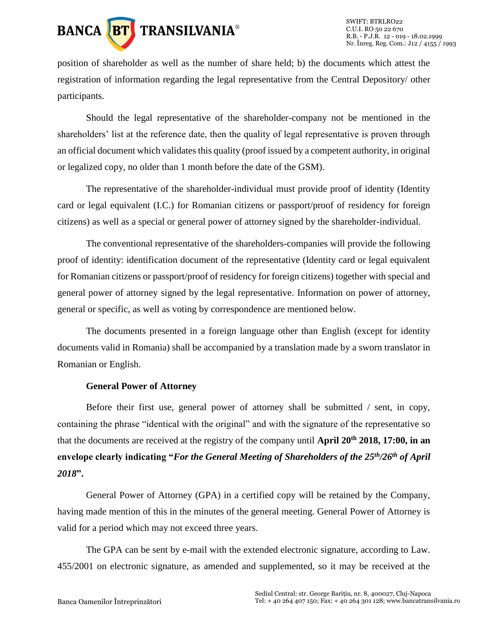

position of shareholder as well as the number of share held; b) the documents which attest the registration of information regarding the legal representative from the Central Depository/ other participants.

Should the legal representative of the shareholder-company not be mentioned in the shareholders' list at the reference date, then the quality of legal representative is proven through an official document which validates this quality (proof issued by a competent authority, in original or legalized copy, no older than 1 month before the date of the GSM).

The representative of the shareholder-individual must provide proof of identity (Identity card or legal equivalent (I.C.) for Romanian citizens or passport/proof of residency for foreign citizens) as well as a special or general power of attorney signed by the shareholder-individual.

The conventional representative of the shareholders-companies will provide the following proof of identity: identification document of the representative (Identity card or legal equivalent for Romanian citizens or passport/proof of residency for foreign citizens) together with special and general power of attorney signed by the legal representative. Information on power of attorney, general or specific, as well as voting by correspondence are mentioned below.

The documents presented in a foreign language other than English (except for identity documents valid in Romania) shall be accompanied by a translation made by a sworn translator in Romanian or English.

#### **General Power of Attorney**

Before their first use, general power of attorney shall be submitted / sent, in copy, containing the phrase "identical with the original" and with the signature of the representative so that the documents are received at the registry of the company until **April 20th 2018, 17:00, in an envelope clearly indicating "***For the General Meeting of Shareholders of the 25th/26th of April 2018***".**

General Power of Attorney (GPA) in a certified copy will be retained by the Company, having made mention of this in the minutes of the general meeting. General Power of Attorney is valid for a period which may not exceed three years.

The GPA can be sent by e-mail with the extended electronic signature, according to Law. 455/2001 on electronic signature, as amended and supplemented, so it may be received at the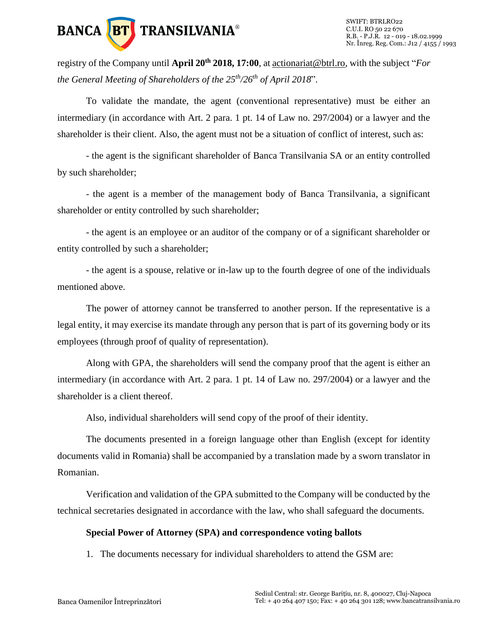

registry of the Company until **April 20th 2018, 17:00**, a[t actionariat@btrl.ro,](mailto:actionariat@btrl.ro) with the subject "*For the General Meeting of Shareholders of the 25th/26th of April 2018*".

To validate the mandate, the agent (conventional representative) must be either an intermediary (in accordance with Art. 2 para. 1 pt. 14 of Law no. 297/2004) or a lawyer and the shareholder is their client. Also, the agent must not be a situation of conflict of interest, such as:

- the agent is the significant shareholder of Banca Transilvania SA or an entity controlled by such shareholder;

- the agent is a member of the management body of Banca Transilvania, a significant shareholder or entity controlled by such shareholder;

- the agent is an employee or an auditor of the company or of a significant shareholder or entity controlled by such a shareholder;

- the agent is a spouse, relative or in-law up to the fourth degree of one of the individuals mentioned above.

The power of attorney cannot be transferred to another person. If the representative is a legal entity, it may exercise its mandate through any person that is part of its governing body or its employees (through proof of quality of representation).

Along with GPA, the shareholders will send the company proof that the agent is either an intermediary (in accordance with Art. 2 para. 1 pt. 14 of Law no. 297/2004) or a lawyer and the shareholder is a client thereof.

Also, individual shareholders will send copy of the proof of their identity.

The documents presented in a foreign language other than English (except for identity documents valid in Romania) shall be accompanied by a translation made by a sworn translator in Romanian.

Verification and validation of the GPA submitted to the Company will be conducted by the technical secretaries designated in accordance with the law, who shall safeguard the documents.

## **Special Power of Attorney (SPA) and correspondence voting ballots**

1. The documents necessary for individual shareholders to attend the GSM are: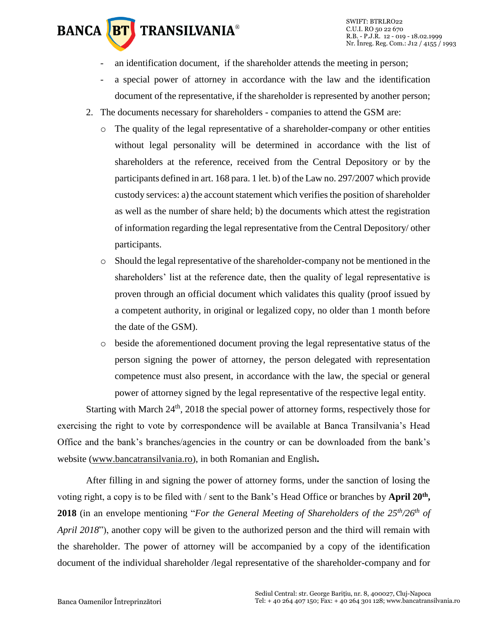# **BANCA BT TRANSILVANIA®**

- an identification document, if the shareholder attends the meeting in person;
- a special power of attorney in accordance with the law and the identification document of the representative, if the shareholder is represented by another person;
- 2. The documents necessary for shareholders companies to attend the GSM are:
	- $\circ$  The quality of the legal representative of a shareholder-company or other entities without legal personality will be determined in accordance with the list of shareholders at the reference, received from the Central Depository or by the participants defined in art. 168 para. 1 let. b) of the Law no. 297/2007 which provide custody services: a) the account statement which verifies the position of shareholder as well as the number of share held; b) the documents which attest the registration of information regarding the legal representative from the Central Depository/ other participants.
	- o Should the legal representative of the shareholder-company not be mentioned in the shareholders' list at the reference date, then the quality of legal representative is proven through an official document which validates this quality (proof issued by a competent authority, in original or legalized copy, no older than 1 month before the date of the GSM).
	- o beside the aforementioned document proving the legal representative status of the person signing the power of attorney, the person delegated with representation competence must also present, in accordance with the law, the special or general power of attorney signed by the legal representative of the respective legal entity.

Starting with March 24<sup>th</sup>, 2018 the special power of attorney forms, respectively those for exercising the right to vote by correspondence will be available at Banca Transilvania's Head Office and the bank's branches/agencies in the country or can be downloaded from the bank's website [\(www.bancatransilvania.ro\)](http://www.bancatransilvania.ro/), in both Romanian and English**.**

After filling in and signing the power of attorney forms, under the sanction of losing the voting right, a copy is to be filed with / sent to the Bank's Head Office or branches by **April 20th , 2018** (in an envelope mentioning "*For the General Meeting of Shareholders of the 25th/26th of April 2018*"), another copy will be given to the authorized person and the third will remain with the shareholder. The power of attorney will be accompanied by a copy of the identification document of the individual shareholder /legal representative of the shareholder-company and for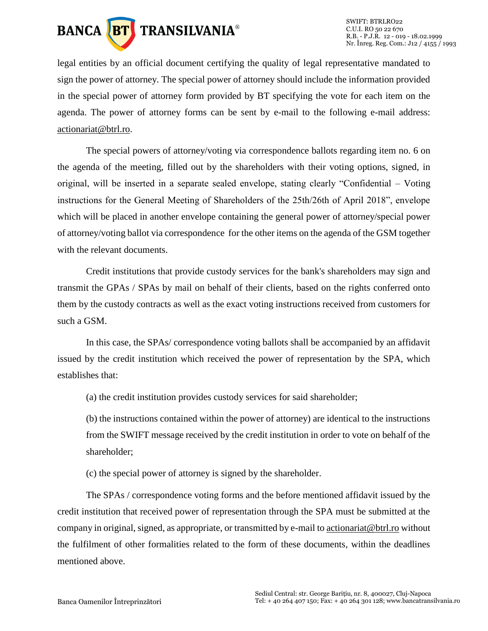

legal entities by an official document certifying the quality of legal representative mandated to sign the power of attorney. The special power of attorney should include the information provided in the special power of attorney form provided by BT specifying the vote for each item on the agenda. The power of attorney forms can be sent by e-mail to the following e-mail address: [actionariat@btrl.ro.](mailto:actionariat@btrl.ro)

The special powers of attorney/voting via correspondence ballots regarding item no. 6 on the agenda of the meeting, filled out by the shareholders with their voting options, signed, in original, will be inserted in a separate sealed envelope, stating clearly "Confidential – Voting instructions for the General Meeting of Shareholders of the 25th/26th of April 2018", envelope which will be placed in another envelope containing the general power of attorney/special power of attorney/voting ballot via correspondence for the other items on the agenda of the GSM together with the relevant documents.

Credit institutions that provide custody services for the bank's shareholders may sign and transmit the GPAs / SPAs by mail on behalf of their clients, based on the rights conferred onto them by the custody contracts as well as the exact voting instructions received from customers for such a GSM.

In this case, the SPAs/ correspondence voting ballots shall be accompanied by an affidavit issued by the credit institution which received the power of representation by the SPA, which establishes that:

(a) the credit institution provides custody services for said shareholder;

(b) the instructions contained within the power of attorney) are identical to the instructions from the SWIFT message received by the credit institution in order to vote on behalf of the shareholder;

(c) the special power of attorney is signed by the shareholder.

The SPAs / correspondence voting forms and the before mentioned affidavit issued by the credit institution that received power of representation through the SPA must be submitted at the company in original, signed, as appropriate, or transmitted by e-mail t[o actionariat@btrl.ro](mailto:actionariat@btrl.ro) without the fulfilment of other formalities related to the form of these documents, within the deadlines mentioned above.